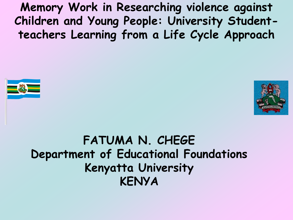**Memory Work in Researching violence against Children and Young People: University Studentteachers Learning from a Life Cycle Approach**





### **FATUMA N. CHEGE Department of Educational Foundations Kenyatta University KENYA**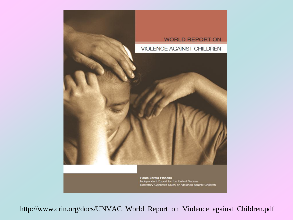

Independent Expert for the United Nations Secretary-General's Study on Violence against Children

http://www.crin.org/docs/UNVAC\_World\_Report\_on\_Violence\_against\_Children.pdf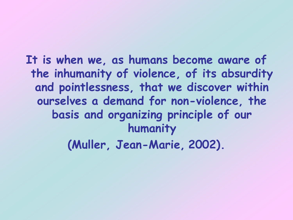## **It is when we, as humans become aware of the inhumanity of violence, of its absurdity and pointlessness, that we discover within ourselves a demand for non-violence, the basis and organizing principle of our humanity**

**(Muller, Jean-Marie, 2002).**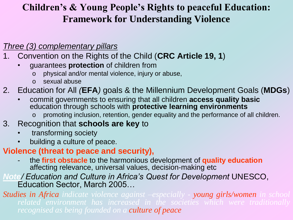#### **Children's & Young People's Rights to peaceful Education: Framework for Understanding Violence**

#### *Three (3) complementary pillars*

- 1. Convention on the Rights of the Child (**CRC Article 19, 1**)
	- guarantees **protection** of children from
		- o physical and/or mental violence, injury or abuse,
		- o sexual abuse

#### 2. Education for All *(***EFA***)* goals & the Millennium Development Goals (**MDGs**)

- commit governments to ensuring that all children **access quality basic** education through schools with **protective learning environments**
	- promoting inclusion, retention, gender equality and the performance of all children.

#### 3. Recognition that **schools are key** to

- transforming society
- building a culture of peace.

#### **Violence (threat to peace and security),**

- the **first obstacle** to the harmonious development of **quality education** affecting relevance, universal values, decision-making etc

#### *Note/ Education and Culture in Africa's Quest for Development* UNESCO, Education Sector, March 2005…

*Studies in Africa indicate violence against –especially - young girls/women in school related environment has increased in the societies which were traditionally recognised as being founded on a culture of peace*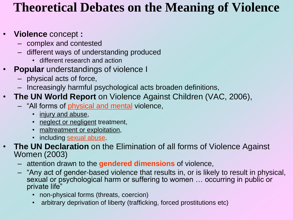### **Theoretical Debates on the Meaning of Violence**

#### • **Violence** concept **:**

- complex and contested
- different ways of understanding produced
	- different research and action
- **Popular** understandings of violence I
	- physical acts of force,
	- Increasingly harmful psychological acts broaden definitions,
- **The UN World Report** on Violence Against Children (VAC, 2006),
	- "All forms of physical and mental violence,
		- injury and abuse,
		- neglect or negligent treatment,
		- maltreatment or exploitation,
		- including sexual abuse.
	- **The UN Declaration** on the Elimination of all forms of Violence Against Women (2003)
		- attention drawn to the **gendered dimensions** of violence,
		- "Any act of gender-based violence that results in, or is likely to result in physical, sexual or psychological harm or suffering to women ... occurring in public or private life"
			- non-physical forms (threats, coercion)
			- arbitrary deprivation of liberty (trafficking, forced prostitutions etc)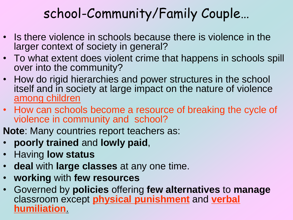## school-Community/Family Couple…

- Is there violence in schools because there is violence in the larger context of society in general?
- To what extent does violent crime that happens in schools spill over into the community?
- How do rigid hierarchies and power structures in the school itself and in society at large impact on the nature of violence among children
- How can schools become a resource of breaking the cycle of violence in community and school?
- **Note**: Many countries report teachers as:
- **poorly trained** and **lowly paid**,
- Having **low status**
- **deal** with **large classes** at any one time.
- **working** with **few resources**
- Governed by **policies** offering **few alternatives** to **manage** classroom except **physical punishment** and **verbal humiliation**.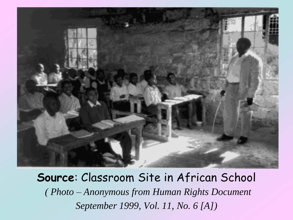

**Source**: Classroom Site in African School *( Photo – Anonymous from Human Rights Document September 1999, Vol. 11, No. 6 [A])*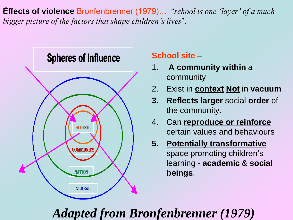**Effects of violence** Bronfenbrenner (1979)… "*school is one 'layer' of a much bigger picture of the factors that shape children's lives*".



#### **School site** –

- 1. **A community within** a community
- 2. Exist in **context Not** in **vacuum**
- **3. Reflects larger** social **order** of the community.
- 4. Can **reproduce or reinforce** certain values and behaviours
- **5. Potentially transformative** space promoting children's learning - **academic** & **social beings**.

## *Adapted from Bronfenbrenner (1979)*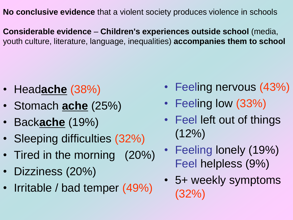**No conclusive evidence** that a violent society produces violence in schools

**Considerable evidence** – **Children's experiences outside school** (media, youth culture, literature, language, inequalities) **accompanies them to school**

- Head**ache** (38%)
- Stomach **ache** (25%)
- Back**ache** (19%)
- Sleeping difficulties (32%)
- Tired in the morning (20%)
- Dizziness (20%)
- Irritable / bad temper (49%)
- Feeling nervous (43%)
- Feeling low (33%)
- Feel left out of things  $(12\%)$
- Feeling lonely (19%) Feel helpless (9%)
- 5+ weekly symptoms (32%)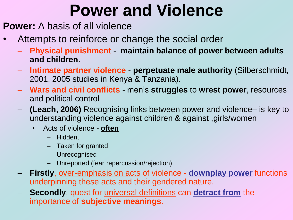# **Power and Violence**

- **Power:** A basis of all violence
- Attempts to reinforce or change the social order
	- **Physical punishment maintain balance of power between adults and children**.
	- **Intimate partner violence perpetuate male authority** (Silberschmidt, 2001, 2005 studies in Kenya & Tanzania).
	- **Wars and civil conflicts** men"s **struggles** to **wrest power**, resources and political control
	- **(Leach, 2006)** Recognising links between power and violence– is key to understanding violence against children & against ,girls/women
		- Acts of violence **often**
			- Hidden,
			- Taken for granted
			- Unrecognised
			- Unreported (fear repercussion/rejection)
	- **Firstly**, over-emphasis on acts of violence **downplay power** functions underpinning these acts and their gendered nature.
	- **Secondly**, quest for universal definitions can **detract from** the importance of **subjective meanings**.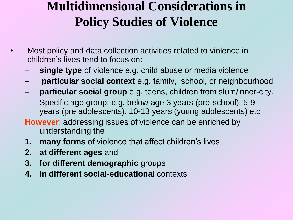## **Multidimensional Considerations in Policy Studies of Violence**

- Most policy and data collection activities related to violence in children"s lives tend to focus on:
	- **single type** of violence e.g. child abuse or media violence
	- **particular social context** e.g. family, school, or neighbourhood
	- **particular social group** e.g. teens, children from slum/inner-city.
	- Specific age group: e.g. below age 3 years (pre-school), 5-9 years (pre adolescents), 10-13 years (young adolescents) etc
	- **However**: addressing issues of violence can be enriched by understanding the
	- **1. many forms** of violence that affect children"s lives
	- **2. at different ages** and
	- **3. for different demographic** groups
	- **4. In different social-educational** contexts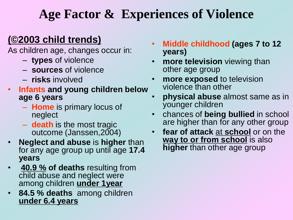### **Age Factor & Experiences of Violence**

#### **(©2003 child trends)**

As children age, changes occur in:

- **types** of violence
- **sources** of violence
- **risks** involved
- **Infants and young children below age 6 years**
	- **Home** is primary locus of neglect
	- **death** is the most tragic outcome (Janssen,2004)
- **Neglect and abuse** is **higher** than for any age group up until age **17.4 years**
- **40.9 % of deaths** resulting from child abuse and neglect were among children **under 1year**
- **84.5 % deaths** among children **under 6.4 years**
- **Middle childhood (ages 7 to 12 years)**
- **more television** viewing than other age group
- **more exposed** to television violence than other
- **physical abuse** almost same as in younger children
- chances of **being bullied** in school are higher than for any other group
- **fear of attack** at **school** or on the **way to or from school** is also **higher** than other age group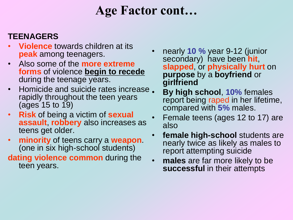## **Age Factor cont…**

#### **TEENAGERS**

- **Violence** towards children at its **peak** among teenagers.
- Also some of the **more extreme forms** of violence **begin to recede** during the teenage years.
- Homicide and suicide rates increase. rapidly throughout the teen years (ages 15 to 19)
- **Risk** of being a victim of **sexual assault**, **robbery** also increases as teens get older.
- **minority** of teens carry a **weapon**. (one in six high-school students)

#### **dating violence common** during the teen years.

- nearly **10 %** year 9-12 (junior secondary) have been **hit**, **slapped**, or **physically hurt** on **purpose** by a **boyfriend** or **girlfriend**
- **By high school**, **10%** females report being raped in her lifetime, compared with **5%** males.
- Female teens (ages 12 to 17) are also
- **female high-school** students are nearly twice as likely as males to report attempting suicide
- **males** are far more likely to be **successful** in their attempts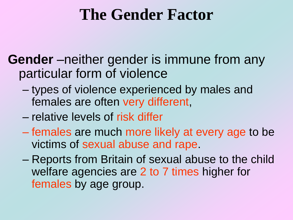## **The Gender Factor**

**Gender** –neither gender is immune from any particular form of violence

- types of violence experienced by males and females are often very different,
- relative levels of risk differ
- females are much more likely at every age to be victims of sexual abuse and rape.
- Reports from Britain of sexual abuse to the child welfare agencies are 2 to 7 times higher for females by age group.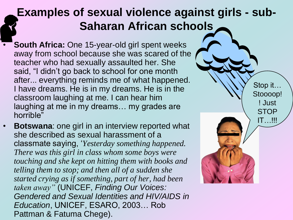### **Examples of sexual violence against girls - sub-Saharan African schools**

- **South Africa: One 15-year-old girl spent weeks** away from school because she was scared of the teacher who had sexually assaulted her. She said, "I didn"t go back to school for one month after... everything reminds me of what happened. I have dreams. He is in my dreams. He is in the classroom laughing at me. I can hear him laughing at me in my dreams… my grades are horrible"
- **Botswana**: one girl in an interview reported what she described as sexual harassment of a classmate saying, "*Yesterday something happened. There was this girl in class whom some boys were touching and she kept on hitting them with books and telling them to stop; and then all of a sudden she started crying as if something, part of her, had been taken away"* (UNICEF, *Finding Our Voices: Gendered and Sexual Identities and HIV/AIDS in Education*, UNICEF, ESARO, 2003… Rob Pattman & Fatuma Chege).

Stop it… Stoooop! ! Just STOP IT…!!!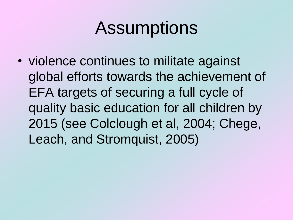# Assumptions

• violence continues to militate against global efforts towards the achievement of EFA targets of securing a full cycle of quality basic education for all children by 2015 (see Colclough et al, 2004; Chege, Leach, and Stromquist, 2005)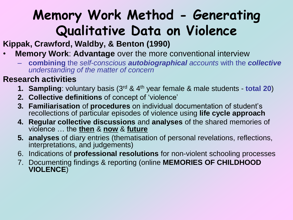## **Memory Work Method - Generating Qualitative Data on Violence**

#### **Kippak, Crawford, Waldby, & Benton (1990)**

- **Memory Work**: **Advantage** over the more conventional interview
	- **combining** the *self-conscious autobiographical accounts* with the *collective understanding of the matter of concern*

#### **Research activities**

- **1. Sampling**: voluntary basis (3rd & 4th year female & male students **total 20**)
- **2. Collective definitions** of concept of "violence"
- **3. Familiarisation** of **procedures** on individual documentation of student"s recollections of particular episodes of violence using **life cycle approach**
- **4. Regular collective discussions** and **analyses** of the shared memories of violence … the **then** & **now** & **future**
- **5. analyses** of diary entries (thematisation of personal revelations, reflections, interpretations, and judgements)
- 6. Indications of **professional resolutions** for non-violent schooling processes
- 7. Documenting findings & reporting (online **MEMORIES OF CHILDHOOD VIOLENCE**)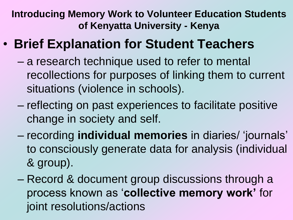**Introducing Memory Work to Volunteer Education Students of Kenyatta University - Kenya**

- **Brief Explanation for Student Teachers** 
	- a research technique used to refer to mental recollections for purposes of linking them to current situations (violence in schools).
	- reflecting on past experiences to facilitate positive change in society and self.
	- recording **individual memories** in diaries/ "journals" to consciously generate data for analysis (individual & group).
	- Record & document group discussions through a process known as "**collective memory work'** for joint resolutions/actions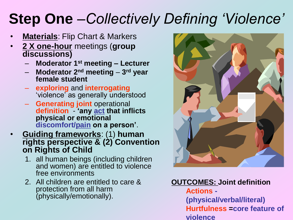# **Step One** –*Collectively Defining 'Violence'*

- **Materials**: Flip Chart & Markers
- **2 X one-hour** meetings (**group discussions)** 
	- **Moderator 1st meeting – Lecturer**
	- **Moderator 2nd meeting 3 rd year female student**
	- **exploring** and **interrogating** "violence" as generally understood
	- **Generating joint** operational **definition** - **'any act that inflicts physical or emotional discomfort/pain on a person'**.
- **Guiding frameworks**: (1) **human rights perspective & (2) Convention on Rights of Child** 
	- 1. all human beings (including children and women) are entitled to violence free environments
	- 2. All children are entitled to care & protection from all harm (physically/emotionally).



#### **OUTCOMES: Joint definition**

**Actions - (physical/verbal/literal) Hurtfulness =core feature of violence**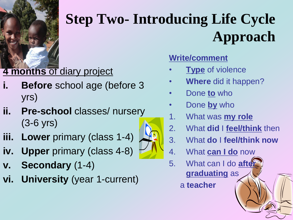

# **Step Two- Introducing Life Cycle Approach**

### **4 months** of diary project

- **Before** school age (before 3) yrs)
- **ii. Pre-school** classes/ nursery (3-6 yrs)
- **iii. Lower** primary (class 1-4)
- **iv. Upper** primary (class 4-8)
- **v. Secondary** (1-4)
- **vi. University** (year 1-current)



- **Type** of violence
- **Where** did it happen?
- Done **to** who
- Done **by** who
- 1. What was **my role**
- 2. What **did** I **feel/think** then
- 3. What **do** I **feel/think now**
- 4. What **can I do** now
- 5. What can I do **aften graduating** as

a **teacher**

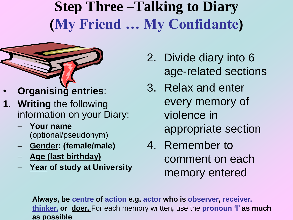## **Step Three –Talking to Diary (My Friend … My Confidante)**



- **Organising entries**:
- **1. Writing** the following information on your Diary:
	- **Your name**  (optional/pseudonym)
	- **Gender: (female/male)**
	- **Age (last birthday)**
	- **Year of study at University**
- 2. Divide diary into 6 age-related sections
- 3. Relax and enter every memory of violence in appropriate section
- 4. Remember to comment on each memory entered

**Always, be centre of action e.g. actor who is observer, receiver, thinker, or doer.** For each memory written**,** use the **pronoun 'I' as much as possible**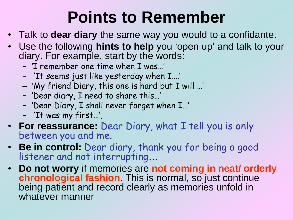# **Points to Remember**

- Talk to **dear diary** the same way you would to a confidante.
- Use the following **hints to help** you "open up" and talk to your diary. For example, start by the words:
	- 'I remember one time when I was…'
	- 'It seems just like yesterday when I….'
	- "My friend Diary, this one is hard but I will …'
	- 'Dear diary, I need to share this…'
	- 'Dear Diary, I shall never forget when I…'
	- 'It was my first…',
- **For reassurance:** Dear Diary, what I tell you is only between you and me.
- **Be in control:** Dear diary, thank you for being a good listener and not interrupting…
- **Do not worry** if memories are **not coming in neat/ orderly chronological fashion**. This is normal, so just continue being patient and record clearly as memories unfold in whatever manner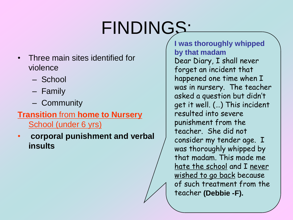# FINDINGS:

- Three main sites identified for violence
	- School
	- Family
	- Community

#### **Transition** from **home to Nursery** School (under 6 yrs)

• **corporal punishment and verbal insults**

**I was thoroughly whipped by that madam** Dear Diary, I shall never forget an incident that happened one time when I was in nursery. The teacher asked a question but didn't get it well. (…) This incident resulted into severe punishment from the teacher. She did not consider my tender age. I was thoroughly whipped by that madam. This made me hate the school and I never wished to go back because of such treatment from the teacher **(Debbie -F).**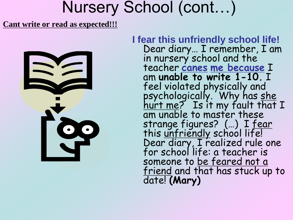## Nursery School (cont…)

#### **Cant write or read as expected!!!**



**I fear this unfriendly school life!**  Dear diary… I remember, I am in nursery school and the teacher **canes me because** I am **unable to write 1-10.** I feel violated physically and psychologically. Why has <u>she</u> hurt me? Is it my fault that I am unable to master these strange figures? (…) I fear this <u>unfriendly</u> school life! Dear diary, I realized rule one for school life: a teacher is someone to be feared not a friend and that has stuck up to date! **(Mary)**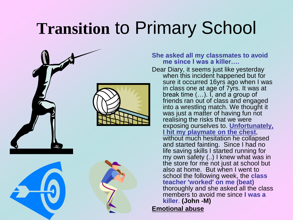# **Transition** to Primary School



#### **She asked all my classmates to avoid me since I was a killer….**

Dear Diary, it seems just like yesterday when this incident happened but for sure it occurred 16yrs ago when I was in class one at age of 7yrs. It was at break time (…). I, and a group of friends ran out of class and engaged into a wrestling match. We thought it was just a matter of having fun not realising the risks that we were exposing ourselves to. **Unfortunately, I hit my playmate on the chest**, without much hesitation he collapsed and started fainting. Since I had no life saving skills I started running for my own safety (..) I knew what was in the store for me not just at school but also at home. But when I went to school the following week, the **class teacher 'worked' on me (beat)** thoroughly and she asked all the class members to avoid me since **I was a killer**. **(John -M) Emotional abuse**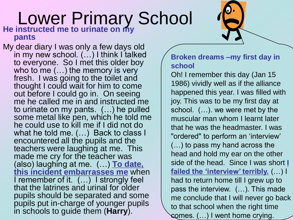#### Lower Primary School **He instructed me to urinate on my pants**

My dear diary I was only a few days old in my new school. (…) I think I talked to everyone. So I met this older boy who to me (…) the memory is very fresh. I was going to the toilet and thought I could wait for him to come out before I could go in. On seeing me he called me in and instructed me to urinate on my pants. (…) he pulled some metal like pen, which he told me he could use to kill me if I did not do what he told me. (…) Back to class I encountered all the pupils and the teachers were laughing at me. This made me cry for the teacher was (also) laughing at me. (…) **To date, this incident embarrasses me** when I remember of it. (…) I strongly feel that the latrines and urinal for older pupils should be separated and some pupils put in-charge of younger pupils in schools to guide them (**Harry**).

#### **Broken dreams –my first day in school**

Oh! I remember this day (Jan 15 1986) vividly well as if the alliance happened this year. I was filled with joy. This was to be my first day at school. (…). we were met by the muscular man whom I learnt later that he was the headmaster. I was "ordered" to perform an "interview" (…) to pass my hand across the head and hold my ear on the other side of the head. Since I was short **I failed the 'interview' terribly.** (…) I had to return home till I grew up to pass the interview. (…). This made me conclude that I will never go back to that school when the right time comes. (…) I went home crying.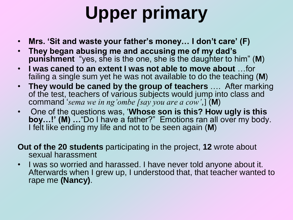# **Upper primary**

- **Mrs. 'Sit and waste your father's money… I don't care' (F)**
- **They began abusing me and accusing me of my dad's punishment** "yes, she is the one, she is the daughter to him" (**M**)
- **I was caned to an extent I was not able to move about** …for failing a single sum yet he was not available to do the teaching (**M**)
- **They would be caned by the group of teachers** …. After marking of the test, teachers of various subjects would jump into class and command "*sema we in ng'ombe [say you are a cow'*,] (**M**)
- One of the questions was, "**Whose son is this? How ugly is this boy…!' (M) …**"Do I have a father?" Emotions ran all over my body. I felt like ending my life and not to be seen again (**M**)
- **Out of the 20 students** participating in the project, **12** wrote about sexual harassment
- I was so worried and harassed. I have never told anyone about it. Afterwards when I grew up, I understood that, that teacher wanted to rape me **(Nancy)**.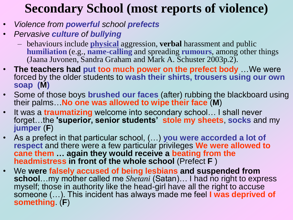## **Secondary School (most reports of violence)**

- *Violence from powerful school prefects*
- *Pervasive culture of bullying*
	- behaviours include **physical** aggression, **verbal** harassment and public **humiliation** (e.g., **name-calling** and spreading **rumours**, among other things (Jaana Juvonen, Sandra Graham and Mark A. Schuster 2003p.2).
- **The teachers had put too much power on the prefect body** …We were forced by the older students to **wash their shirts, trousers using our own soap (M)**
- Some of those boys **brushed our faces** (after) rubbing the blackboard using their palms…**No one was allowed to wipe their face** (**M**)
- It was a **traumatizing** welcome into secondary school… I shall never forget…the **'superior, senior students' stole my sheets**, **socks** and my **jumper** (**F**)
- As a prefect in that particular school, (…) **you were accorded a lot of respect** and there were a few particular privileges **We were allowed to cane them … again they would receive a beating from the headmistress in front of the whole school** (Prefect **F** )
- We **were falsely accused of being lesbians and suspended from school**…my mother called me *Shetani* (Satan)… I had no right to express myself; those in authority like the head-girl have all the right to accuse someone (…). This incident has always made me feel **I was deprived of something**. (**F**)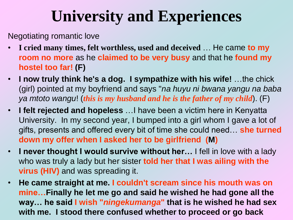# **University and Experiences**

Negotiating romantic love

- **I cried many times, felt worthless, used and deceived** … He came **to my room no more** as he **claimed to be very busy** and that he **found my hostel too far! (F)**
- **I now truly think he's a dog. I sympathize with his wife!** …the chick (girl) pointed at my boyfriend and says "*na huyu ni bwana yangu na baba ya mtoto wangu*! (*this is my husband and he is the father of my child*). (F)
- **I felt rejected and hopeless** …I have been a victim here in Kenyatta University. In my second year, I bumped into a girl whom I gave a lot of gifts, presents and offered every bit of time she could need… **she turned down my offer when I asked her to be girlfriend (M)**
- **I never thought I would survive without her…** I fell in love with a lady who was truly a lady but her sister **told her that I was ailing with the virus (HIV)** and was spreading it.
- **He came straight at me. I couldn't scream since his mouth was on mine…Finally he let me go and said he wished he had gone all the way… he said I wish "***ningekumanga***" that is he wished he had sex with me. I stood there confused whether to proceed or go back**